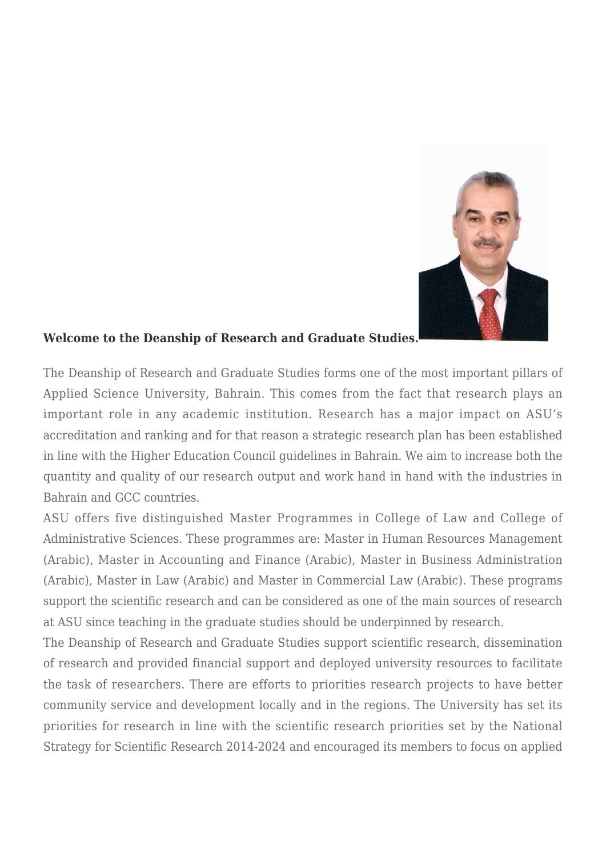

## **Welcome to the Deanship of Research and Graduate Studies.**

The Deanship of Research and Graduate Studies forms one of the most important pillars of Applied Science University, Bahrain. This comes from the fact that research plays an important role in any academic institution. Research has a major impact on ASU's accreditation and ranking and for that reason a strategic research plan has been established in line with the Higher Education Council guidelines in Bahrain. We aim to increase both the quantity and quality of our research output and work hand in hand with the industries in Bahrain and GCC countries.

ASU offers five distinguished Master Programmes in College of Law and College of Administrative Sciences. These programmes are: Master in Human Resources Management (Arabic), Master in Accounting and Finance (Arabic), Master in Business Administration (Arabic), Master in Law (Arabic) and Master in Commercial Law (Arabic). These programs support the scientific research and can be considered as one of the main sources of research at ASU since teaching in the graduate studies should be underpinned by research.

The Deanship of Research and Graduate Studies support scientific research, dissemination of research and provided financial support and deployed university resources to facilitate the task of researchers. There are efforts to priorities research projects to have better community service and development locally and in the regions. The University has set its priorities for research in line with the scientific research priorities set by the National Strategy for Scientific Research 2014-2024 and encouraged its members to focus on applied